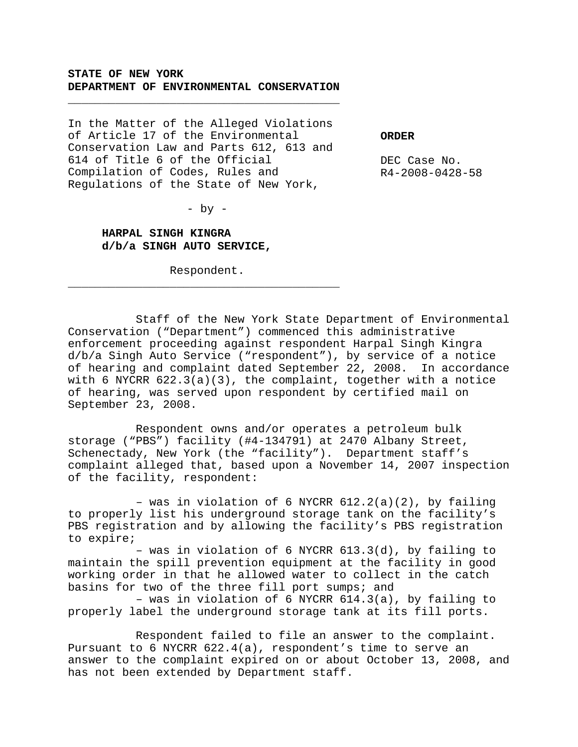## **STATE OF NEW YORK DEPARTMENT OF ENVIRONMENTAL CONSERVATION**

\_\_\_\_\_\_\_\_\_\_\_\_\_\_\_\_\_\_\_\_\_\_\_\_\_\_\_\_\_\_\_\_\_\_\_\_\_\_\_\_

In the Matter of the Alleged Violations of Article 17 of the Environmental Conservation Law and Parts 612, 613 and 614 of Title 6 of the Official Compilation of Codes, Rules and Regulations of the State of New York,

**ORDER**

DEC Case No. R4-2008-0428-58

 $-$  by  $-$ 

**HARPAL SINGH KINGRA d/b/a SINGH AUTO SERVICE,**

Respondent. \_\_\_\_\_\_\_\_\_\_\_\_\_\_\_\_\_\_\_\_\_\_\_\_\_\_\_\_\_\_\_\_\_\_\_\_\_\_\_\_

Staff of the New York State Department of Environmental Conservation ("Department") commenced this administrative enforcement proceeding against respondent Harpal Singh Kingra d/b/a Singh Auto Service ("respondent"), by service of a notice of hearing and complaint dated September 22, 2008. In accordance with 6 NYCRR  $622.3(a)(3)$ , the complaint, together with a notice of hearing, was served upon respondent by certified mail on September 23, 2008.

Respondent owns and/or operates a petroleum bulk storage ("PBS") facility (#4-134791) at 2470 Albany Street, Schenectady, New York (the "facility"). Department staff's complaint alleged that, based upon a November 14, 2007 inspection of the facility, respondent:

– was in violation of 6 NYCRR 612.2(a)(2), by failing to properly list his underground storage tank on the facility's PBS registration and by allowing the facility's PBS registration to expire;

– was in violation of 6 NYCRR 613.3(d), by failing to maintain the spill prevention equipment at the facility in good working order in that he allowed water to collect in the catch basins for two of the three fill port sumps; and

– was in violation of 6 NYCRR 614.3(a), by failing to properly label the underground storage tank at its fill ports.

Respondent failed to file an answer to the complaint. Pursuant to 6 NYCRR 622.4(a), respondent's time to serve an answer to the complaint expired on or about October 13, 2008, and has not been extended by Department staff.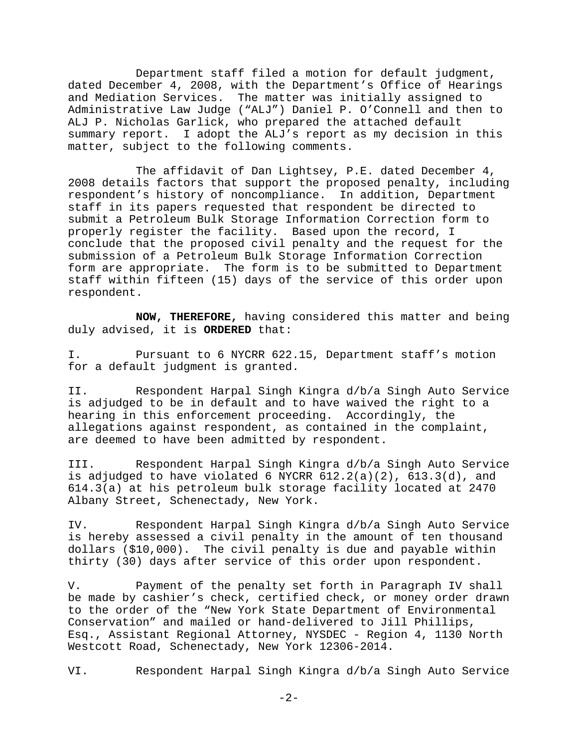Department staff filed a motion for default judgment, dated December 4, 2008, with the Department's Office of Hearings and Mediation Services. The matter was initially assigned to Administrative Law Judge ("ALJ") Daniel P. O'Connell and then to ALJ P. Nicholas Garlick, who prepared the attached default summary report. I adopt the ALJ's report as my decision in this matter, subject to the following comments.

The affidavit of Dan Lightsey, P.E. dated December 4, 2008 details factors that support the proposed penalty, including respondent's history of noncompliance. In addition, Department staff in its papers requested that respondent be directed to submit a Petroleum Bulk Storage Information Correction form to properly register the facility. Based upon the record, I conclude that the proposed civil penalty and the request for the submission of a Petroleum Bulk Storage Information Correction form are appropriate. The form is to be submitted to Department staff within fifteen (15) days of the service of this order upon respondent.

**NOW, THEREFORE,** having considered this matter and being duly advised, it is **ORDERED** that:

I. Pursuant to 6 NYCRR 622.15, Department staff's motion for a default judgment is granted.

II. Respondent Harpal Singh Kingra d/b/a Singh Auto Service is adjudged to be in default and to have waived the right to a hearing in this enforcement proceeding. Accordingly, the allegations against respondent, as contained in the complaint, are deemed to have been admitted by respondent.

III. Respondent Harpal Singh Kingra d/b/a Singh Auto Service is adjudged to have violated 6 NYCRR  $612.2(a)(2)$ ,  $613.3(d)$ , and 614.3(a) at his petroleum bulk storage facility located at 2470 Albany Street, Schenectady, New York.

IV. Respondent Harpal Singh Kingra d/b/a Singh Auto Service is hereby assessed a civil penalty in the amount of ten thousand dollars (\$10,000). The civil penalty is due and payable within thirty (30) days after service of this order upon respondent.

V. Payment of the penalty set forth in Paragraph IV shall be made by cashier's check, certified check, or money order drawn to the order of the "New York State Department of Environmental Conservation" and mailed or hand-delivered to Jill Phillips, Esq., Assistant Regional Attorney, NYSDEC - Region 4, 1130 North Westcott Road, Schenectady, New York 12306-2014.

VI. Respondent Harpal Singh Kingra d/b/a Singh Auto Service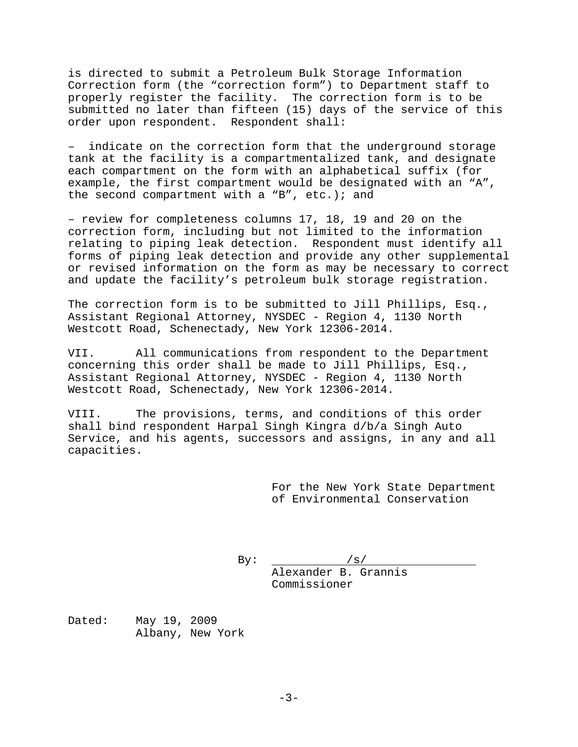is directed to submit a Petroleum Bulk Storage Information Correction form (the "correction form") to Department staff to properly register the facility. The correction form is to be submitted no later than fifteen (15) days of the service of this order upon respondent. Respondent shall:

– indicate on the correction form that the underground storage tank at the facility is a compartmentalized tank, and designate each compartment on the form with an alphabetical suffix (for example, the first compartment would be designated with an "A", the second compartment with a "B", etc.); and

– review for completeness columns 17, 18, 19 and 20 on the correction form, including but not limited to the information relating to piping leak detection. Respondent must identify all forms of piping leak detection and provide any other supplemental or revised information on the form as may be necessary to correct and update the facility's petroleum bulk storage registration.

The correction form is to be submitted to Jill Phillips, Esq., Assistant Regional Attorney, NYSDEC - Region 4, 1130 North Westcott Road, Schenectady, New York 12306-2014.

VII. All communications from respondent to the Department concerning this order shall be made to Jill Phillips, Esq., Assistant Regional Attorney, NYSDEC - Region 4, 1130 North Westcott Road, Schenectady, New York 12306-2014.

VIII. The provisions, terms, and conditions of this order shall bind respondent Harpal Singh Kingra d/b/a Singh Auto Service, and his agents, successors and assigns, in any and all capacities.

> For the New York State Department of Environmental Conservation

By:  $/ s$ Alexander B. Grannis Commissioner

Dated: May 19, 2009 Albany, New York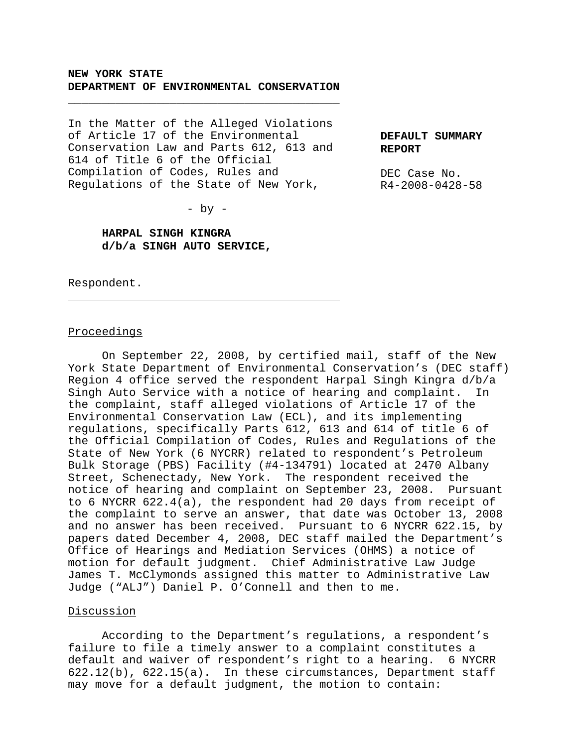### **NEW YORK STATE DEPARTMENT OF ENVIRONMENTAL CONSERVATION**

\_\_\_\_\_\_\_\_\_\_\_\_\_\_\_\_\_\_\_\_\_\_\_\_\_\_\_\_\_\_\_\_\_\_\_\_\_\_\_\_

In the Matter of the Alleged Violations of Article 17 of the Environmental Conservation Law and Parts 612, 613 and 614 of Title 6 of the Official Compilation of Codes, Rules and Regulations of the State of New York,

**DEFAULT SUMMARY REPORT**

DEC Case No. R4-2008-0428-58

 $-$  by  $-$ 

# **HARPAL SINGH KINGRA d/b/a SINGH AUTO SERVICE,**

Respondent.

 $\overline{a}$ 

#### Proceedings

On September 22, 2008, by certified mail, staff of the New York State Department of Environmental Conservation's (DEC staff) Region 4 office served the respondent Harpal Singh Kingra d/b/a Singh Auto Service with a notice of hearing and complaint. In the complaint, staff alleged violations of Article 17 of the Environmental Conservation Law (ECL), and its implementing regulations, specifically Parts 612, 613 and 614 of title 6 of the Official Compilation of Codes, Rules and Regulations of the State of New York (6 NYCRR) related to respondent's Petroleum Bulk Storage (PBS) Facility (#4-134791) located at 2470 Albany Street, Schenectady, New York. The respondent received the notice of hearing and complaint on September 23, 2008. Pursuant to 6 NYCRR 622.4(a), the respondent had 20 days from receipt of the complaint to serve an answer, that date was October 13, 2008 and no answer has been received. Pursuant to 6 NYCRR 622.15, by papers dated December 4, 2008, DEC staff mailed the Department's Office of Hearings and Mediation Services (OHMS) a notice of motion for default judgment. Chief Administrative Law Judge James T. McClymonds assigned this matter to Administrative Law Judge ("ALJ") Daniel P. O'Connell and then to me.

#### Discussion

According to the Department's regulations, a respondent's failure to file a timely answer to a complaint constitutes a default and waiver of respondent's right to a hearing. 6 NYCRR 622.12(b), 622.15(a). In these circumstances, Department staff may move for a default judgment, the motion to contain: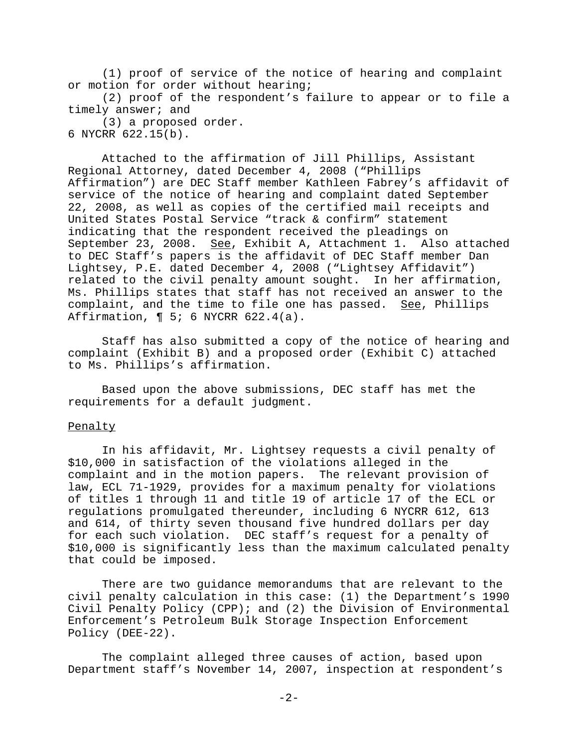(1) proof of service of the notice of hearing and complaint or motion for order without hearing;

(2) proof of the respondent's failure to appear or to file a timely answer; and

(3) a proposed order. 6 NYCRR 622.15(b).

Attached to the affirmation of Jill Phillips, Assistant Regional Attorney, dated December 4, 2008 ("Phillips Affirmation") are DEC Staff member Kathleen Fabrey's affidavit of service of the notice of hearing and complaint dated September 22, 2008, as well as copies of the certified mail receipts and United States Postal Service "track & confirm" statement indicating that the respondent received the pleadings on September 23, 2008. See, Exhibit A, Attachment 1. Also attached to DEC Staff's papers is the affidavit of DEC Staff member Dan Lightsey, P.E. dated December 4, 2008 ("Lightsey Affidavit") related to the civil penalty amount sought. In her affirmation, Ms. Phillips states that staff has not received an answer to the complaint, and the time to file one has passed. See, Phillips Affirmation,  $\P 5$ ; 6 NYCRR 622.4(a).

Staff has also submitted a copy of the notice of hearing and complaint (Exhibit B) and a proposed order (Exhibit C) attached to Ms. Phillips's affirmation.

Based upon the above submissions, DEC staff has met the requirements for a default judgment.

# Penalty

In his affidavit, Mr. Lightsey requests a civil penalty of \$10,000 in satisfaction of the violations alleged in the complaint and in the motion papers. The relevant provision of law, ECL 71-1929, provides for a maximum penalty for violations of titles 1 through 11 and title 19 of article 17 of the ECL or regulations promulgated thereunder, including 6 NYCRR 612, 613 and 614, of thirty seven thousand five hundred dollars per day for each such violation. DEC staff's request for a penalty of \$10,000 is significantly less than the maximum calculated penalty that could be imposed.

There are two guidance memorandums that are relevant to the civil penalty calculation in this case: (1) the Department's 1990 Civil Penalty Policy (CPP); and (2) the Division of Environmental Enforcement's Petroleum Bulk Storage Inspection Enforcement Policy (DEE-22).

The complaint alleged three causes of action, based upon Department staff's November 14, 2007, inspection at respondent's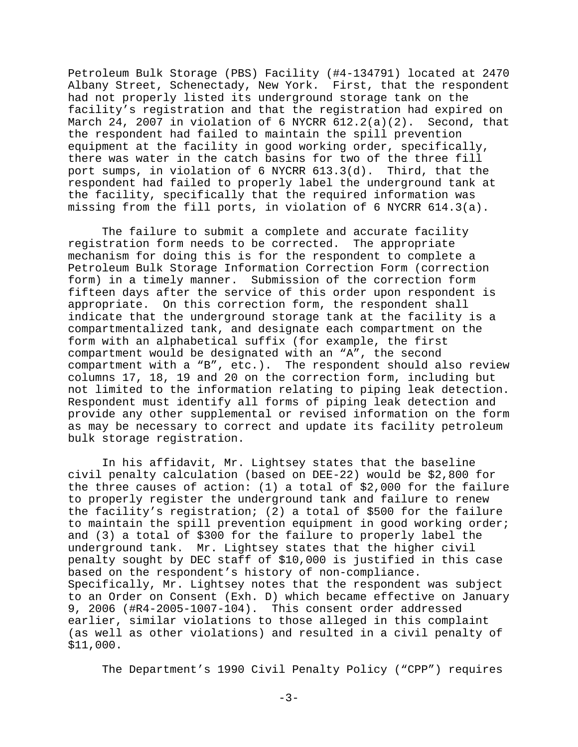Petroleum Bulk Storage (PBS) Facility (#4-134791) located at 2470 Albany Street, Schenectady, New York. First, that the respondent had not properly listed its underground storage tank on the facility's registration and that the registration had expired on March 24, 2007 in violation of 6 NYCRR  $612.2(a)(2)$ . Second, that the respondent had failed to maintain the spill prevention equipment at the facility in good working order, specifically, there was water in the catch basins for two of the three fill port sumps, in violation of 6 NYCRR 613.3(d). Third, that the respondent had failed to properly label the underground tank at the facility, specifically that the required information was missing from the fill ports, in violation of 6 NYCRR 614.3(a).

The failure to submit a complete and accurate facility registration form needs to be corrected. The appropriate mechanism for doing this is for the respondent to complete a Petroleum Bulk Storage Information Correction Form (correction form) in a timely manner. Submission of the correction form fifteen days after the service of this order upon respondent is appropriate. On this correction form, the respondent shall indicate that the underground storage tank at the facility is a compartmentalized tank, and designate each compartment on the form with an alphabetical suffix (for example, the first compartment would be designated with an "A", the second compartment with a "B", etc.). The respondent should also review columns 17, 18, 19 and 20 on the correction form, including but not limited to the information relating to piping leak detection. Respondent must identify all forms of piping leak detection and provide any other supplemental or revised information on the form as may be necessary to correct and update its facility petroleum bulk storage registration.

In his affidavit, Mr. Lightsey states that the baseline civil penalty calculation (based on DEE-22) would be \$2,800 for the three causes of action: (1) a total of \$2,000 for the failure to properly register the underground tank and failure to renew the facility's registration; (2) a total of \$500 for the failure to maintain the spill prevention equipment in good working order; and (3) a total of \$300 for the failure to properly label the underground tank. Mr. Lightsey states that the higher civil penalty sought by DEC staff of \$10,000 is justified in this case based on the respondent's history of non-compliance. Specifically, Mr. Lightsey notes that the respondent was subject to an Order on Consent (Exh. D) which became effective on January 9, 2006 (#R4-2005-1007-104). This consent order addressed earlier, similar violations to those alleged in this complaint (as well as other violations) and resulted in a civil penalty of \$11,000.

The Department's 1990 Civil Penalty Policy ("CPP") requires